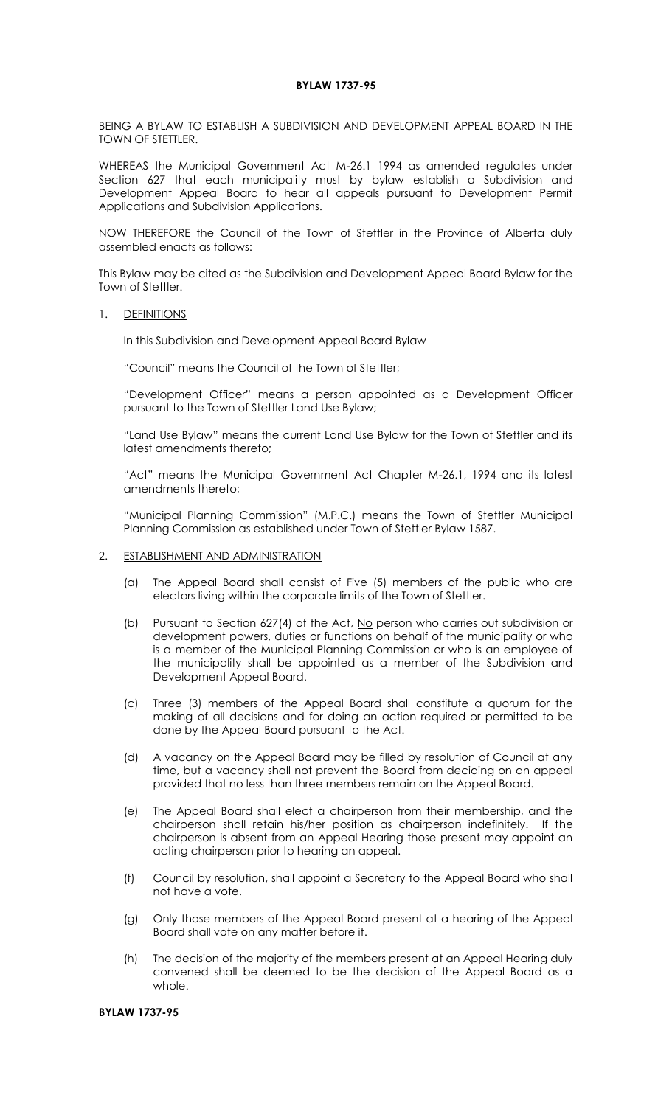## **BYLAW 1737-95**

BEING A BYLAW TO ESTABLISH A SUBDIVISION AND DEVELOPMENT APPEAL BOARD IN THE TOWN OF STETTLER.

WHEREAS the Municipal Government Act M-26.1 1994 as amended regulates under Section 627 that each municipality must by bylaw establish a Subdivision and Development Appeal Board to hear all appeals pursuant to Development Permit Applications and Subdivision Applications.

NOW THEREFORE the Council of the Town of Stettler in the Province of Alberta duly assembled enacts as follows:

This Bylaw may be cited as the Subdivision and Development Appeal Board Bylaw for the Town of Stettler.

1. DEFINITIONS

In this Subdivision and Development Appeal Board Bylaw

"Council" means the Council of the Town of Stettler;

"Development Officer" means a person appointed as a Development Officer pursuant to the Town of Stettler Land Use Bylaw;

"Land Use Bylaw" means the current Land Use Bylaw for the Town of Stettler and its latest amendments thereto;

"Act" means the Municipal Government Act Chapter M-26.1, 1994 and its latest amendments thereto;

"Municipal Planning Commission" (M.P.C.) means the Town of Stettler Municipal Planning Commission as established under Town of Stettler Bylaw 1587.

## 2. ESTABLISHMENT AND ADMINISTRATION

- (a) The Appeal Board shall consist of Five (5) members of the public who are electors living within the corporate limits of the Town of Stettler.
- (b) Pursuant to Section 627(4) of the Act, No person who carries out subdivision or development powers, duties or functions on behalf of the municipality or who is a member of the Municipal Planning Commission or who is an employee of the municipality shall be appointed as a member of the Subdivision and Development Appeal Board.
- (c) Three (3) members of the Appeal Board shall constitute a quorum for the making of all decisions and for doing an action required or permitted to be done by the Appeal Board pursuant to the Act.
- (d) A vacancy on the Appeal Board may be filled by resolution of Council at any time, but a vacancy shall not prevent the Board from deciding on an appeal provided that no less than three members remain on the Appeal Board.
- (e) The Appeal Board shall elect a chairperson from their membership, and the chairperson shall retain his/her position as chairperson indefinitely. If the chairperson is absent from an Appeal Hearing those present may appoint an acting chairperson prior to hearing an appeal.
- (f) Council by resolution, shall appoint a Secretary to the Appeal Board who shall not have a vote.
- (g) Only those members of the Appeal Board present at a hearing of the Appeal Board shall vote on any matter before it.
- (h) The decision of the majority of the members present at an Appeal Hearing duly convened shall be deemed to be the decision of the Appeal Board as a whole.